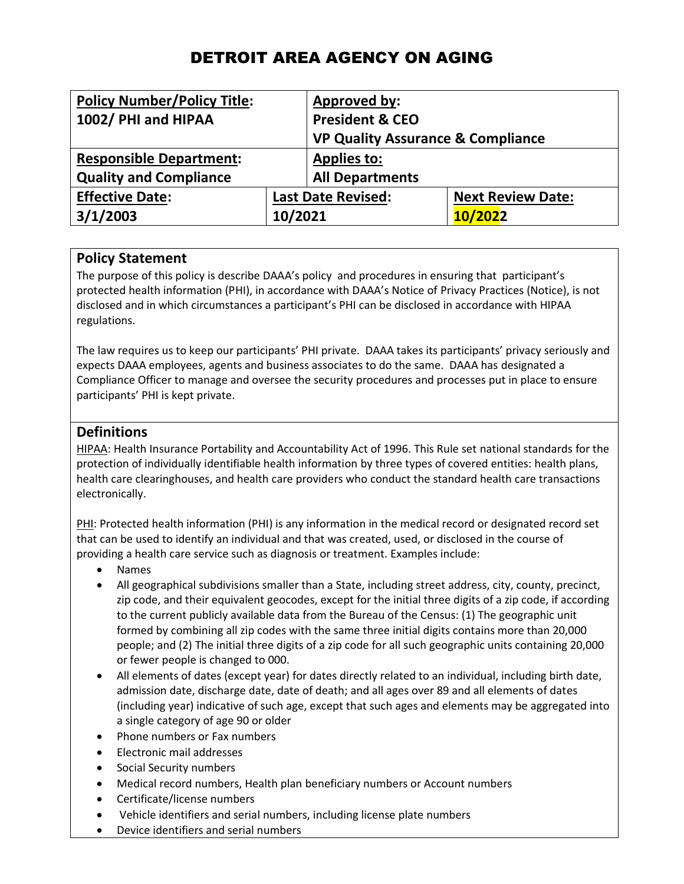# DETROIT AREA AGENCY ON AGING

| <b>Policy Number/Policy Title:</b> |                           | <b>Approved by:</b>                          |                          |
|------------------------------------|---------------------------|----------------------------------------------|--------------------------|
| 1002/ PHI and HIPAA                |                           | <b>President &amp; CEO</b>                   |                          |
|                                    |                           | <b>VP Quality Assurance &amp; Compliance</b> |                          |
| <b>Responsible Department:</b>     |                           | <b>Applies to:</b>                           |                          |
| <b>Quality and Compliance</b>      |                           | <b>All Departments</b>                       |                          |
| <b>Effective Date:</b>             | <b>Last Date Revised:</b> |                                              | <b>Next Review Date:</b> |
| 3/1/2003                           | 10/2021                   |                                              | 10/2022                  |

### **Policy Statement**

The purpose of this policy is describe DAAA's policy and procedures in ensuring that participant's protected health information (PHI), in accordance with DAAA's Notice of Privacy Practices (Notice), is not disclosed and in which circumstances a participant's PHI can be disclosed in accordance with HIPAA regulations.

The law requires us to keep our participants' PHI private. DAAA takes its participants' privacy seriously and expects DAAA employees, agents and business associates to do the same. DAAA has designated a Compliance Officer to manage and oversee the security procedures and processes put in place to ensure participants' PHI is kept private.

### **Definitions**

HIPAA: Health Insurance Portability and Accountability Act of 1996. This Rule set national standards for the protection of individually identifiable health information by three types of covered entities: health plans, health care clearinghouses, and health care providers who conduct the standard health care transactions electronically.

PHI: Protected health information (PHI) is any information in the medical record or designated record set that can be used to identify an individual and that was created, used, or disclosed in the course of providing a health care service such as diagnosis or treatment. Examples include:

- Names
- All geographical subdivisions smaller than a State, including street address, city, county, precinct, zip code, and their equivalent geocodes, except for the initial three digits of a zip code, if according to the current publicly available data from the Bureau of the Census: (1) The geographic unit formed by combining all zip codes with the same three initial digits contains more than 20,000 people; and (2) The initial three digits of a zip code for all such geographic units containing 20,000 or fewer people is changed to 000.
- All elements of dates (except year) for dates directly related to an individual, including birth date, admission date, discharge date, date of death; and all ages over 89 and all elements of dates (including year) indicative of such age, except that such ages and elements may be aggregated into a single category of age 90 or older
- Phone numbers or Fax numbers
- Electronic mail addresses
- Social Security numbers
- Medical record numbers, Health plan beneficiary numbers or Account numbers
- Certificate/license numbers
- Vehicle identifiers and serial numbers, including license plate numbers
- Device identifiers and serial numbers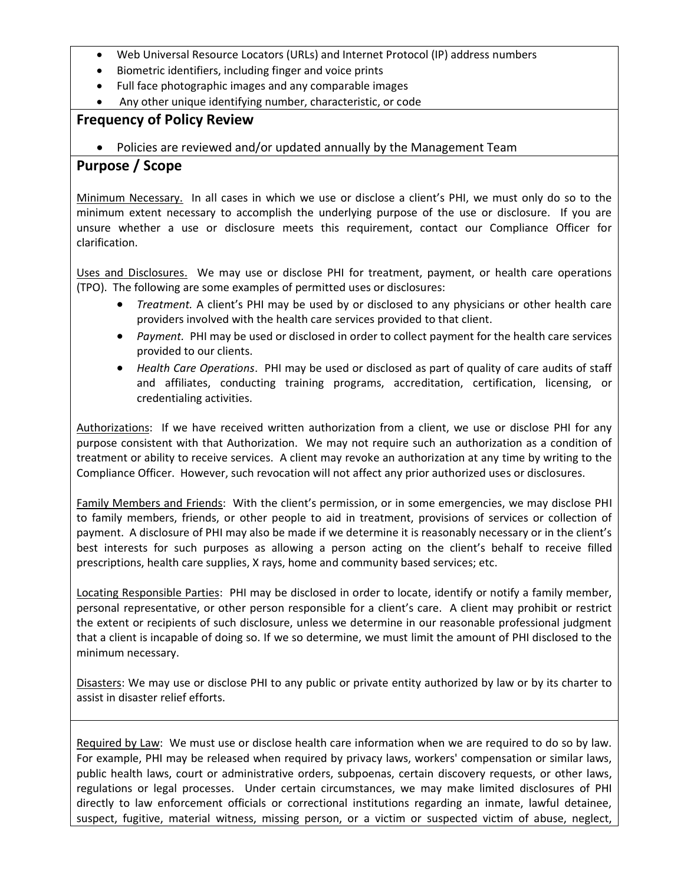- Web Universal Resource Locators (URLs) and Internet Protocol (IP) address numbers
- Biometric identifiers, including finger and voice prints
- Full face photographic images and any comparable images
- Any other unique identifying number, characteristic, or code

### **Frequency of Policy Review**

• Policies are reviewed and/or updated annually by the Management Team

## **Purpose / Scope**

Minimum Necessary. In all cases in which we use or disclose a client's PHI, we must only do so to the minimum extent necessary to accomplish the underlying purpose of the use or disclosure. If you are unsure whether a use or disclosure meets this requirement, contact our Compliance Officer for clarification.

Uses and Disclosures. We may use or disclose PHI for treatment, payment, or health care operations (TPO). The following are some examples of permitted uses or disclosures:

- *Treatment.* A client's PHI may be used by or disclosed to any physicians or other health care providers involved with the health care services provided to that client.
- *Payment.* PHI may be used or disclosed in order to collect payment for the health care services provided to our clients.
- *Health Care Operations*. PHI may be used or disclosed as part of quality of care audits of staff and affiliates, conducting training programs, accreditation, certification, licensing, or credentialing activities.

Authorizations: If we have received written authorization from a client, we use or disclose PHI for any purpose consistent with that Authorization. We may not require such an authorization as a condition of treatment or ability to receive services. A client may revoke an authorization at any time by writing to the Compliance Officer. However, such revocation will not affect any prior authorized uses or disclosures.

Family Members and Friends: With the client's permission, or in some emergencies, we may disclose PHI to family members, friends, or other people to aid in treatment, provisions of services or collection of payment. A disclosure of PHI may also be made if we determine it is reasonably necessary or in the client's best interests for such purposes as allowing a person acting on the client's behalf to receive filled prescriptions, health care supplies, X rays, home and community based services; etc.

Locating Responsible Parties: PHI may be disclosed in order to locate, identify or notify a family member, personal representative, or other person responsible for a client's care. A client may prohibit or restrict the extent or recipients of such disclosure, unless we determine in our reasonable professional judgment that a client is incapable of doing so. If we so determine, we must limit the amount of PHI disclosed to the minimum necessary.

Disasters: We may use or disclose PHI to any public or private entity authorized by law or by its charter to assist in disaster relief efforts.

Required by Law: We must use or disclose health care information when we are required to do so by law. For example, PHI may be released when required by privacy laws, workers' compensation or similar laws, public health laws, court or administrative orders, subpoenas, certain discovery requests, or other laws, regulations or legal processes. Under certain circumstances, we may make limited disclosures of PHI directly to law enforcement officials or correctional institutions regarding an inmate, lawful detainee, suspect, fugitive, material witness, missing person, or a victim or suspected victim of abuse, neglect,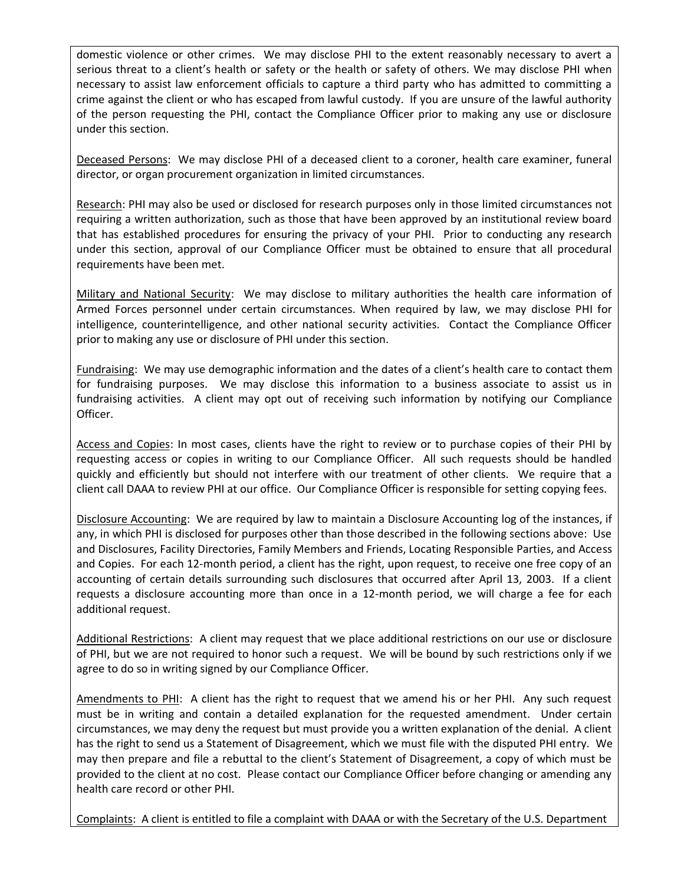domestic violence or other crimes. We may disclose PHI to the extent reasonably necessary to avert a serious threat to a client's health or safety or the health or safety of others. We may disclose PHI when necessary to assist law enforcement officials to capture a third party who has admitted to committing a crime against the client or who has escaped from lawful custody. If you are unsure of the lawful authority of the person requesting the PHI, contact the Compliance Officer prior to making any use or disclosure under this section.

Deceased Persons: We may disclose PHI of a deceased client to a coroner, health care examiner, funeral director, or organ procurement organization in limited circumstances.

Research: PHI may also be used or disclosed for research purposes only in those limited circumstances not requiring a written authorization, such as those that have been approved by an institutional review board that has established procedures for ensuring the privacy of your PHI. Prior to conducting any research under this section, approval of our Compliance Officer must be obtained to ensure that all procedural requirements have been met.

Military and National Security: We may disclose to military authorities the health care information of Armed Forces personnel under certain circumstances. When required by law, we may disclose PHI for intelligence, counterintelligence, and other national security activities. Contact the Compliance Officer prior to making any use or disclosure of PHI under this section.

Fundraising: We may use demographic information and the dates of a client's health care to contact them for fundraising purposes. We may disclose this information to a business associate to assist us in fundraising activities. A client may opt out of receiving such information by notifying our Compliance Officer.

Access and Copies: In most cases, clients have the right to review or to purchase copies of their PHI by requesting access or copies in writing to our Compliance Officer. All such requests should be handled quickly and efficiently but should not interfere with our treatment of other clients. We require that a client call DAAA to review PHI at our office. Our Compliance Officer is responsible for setting copying fees.

Disclosure Accounting: We are required by law to maintain a Disclosure Accounting log of the instances, if any, in which PHI is disclosed for purposes other than those described in the following sections above: Use and Disclosures, Facility Directories, Family Members and Friends, Locating Responsible Parties, and Access and Copies. For each 12-month period, a client has the right, upon request, to receive one free copy of an accounting of certain details surrounding such disclosures that occurred after April 13, 2003. If a client requests a disclosure accounting more than once in a 12-month period, we will charge a fee for each additional request.

Additional Restrictions: A client may request that we place additional restrictions on our use or disclosure of PHI, but we are not required to honor such a request. We will be bound by such restrictions only if we agree to do so in writing signed by our Compliance Officer.

Amendments to PHI: A client has the right to request that we amend his or her PHI. Any such request must be in writing and contain a detailed explanation for the requested amendment. Under certain circumstances, we may deny the request but must provide you a written explanation of the denial. A client has the right to send us a Statement of Disagreement, which we must file with the disputed PHI entry. We may then prepare and file a rebuttal to the client's Statement of Disagreement, a copy of which must be provided to the client at no cost. Please contact our Compliance Officer before changing or amending any health care record or other PHI.

Complaints: A client is entitled to file a complaint with DAAA or with the Secretary of the U.S. Department